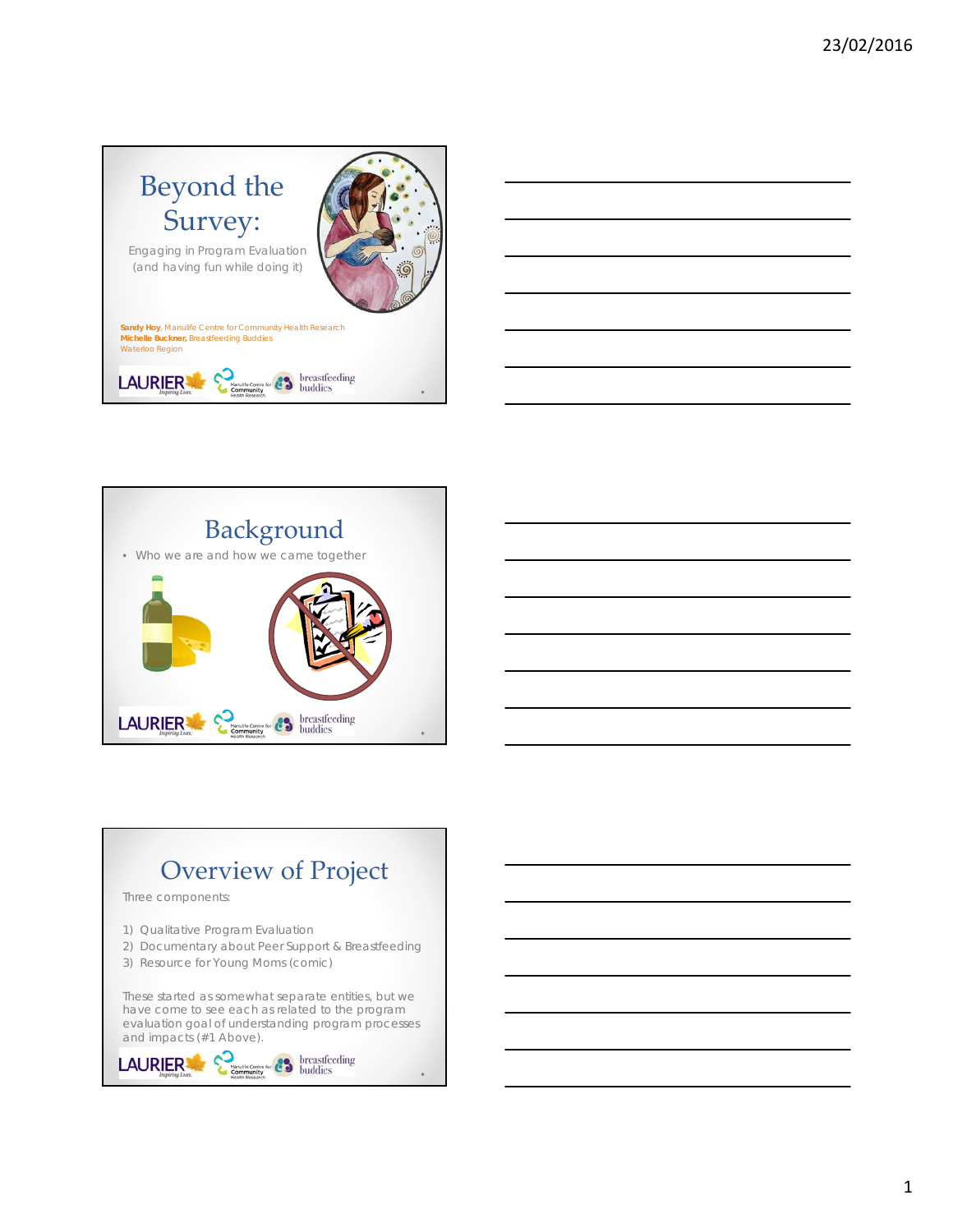







# Overview of Project

Three components:

- 1) Qualitative Program Evaluation
- 2) Documentary about Peer Support & Breastfeeding
- 3) Resource for Young Moms (comic)

These started as somewhat separate entities, but we have come to see each as related to the program evaluation goal of understanding program processes and impacts (#1 Above).

```
LAURIER
```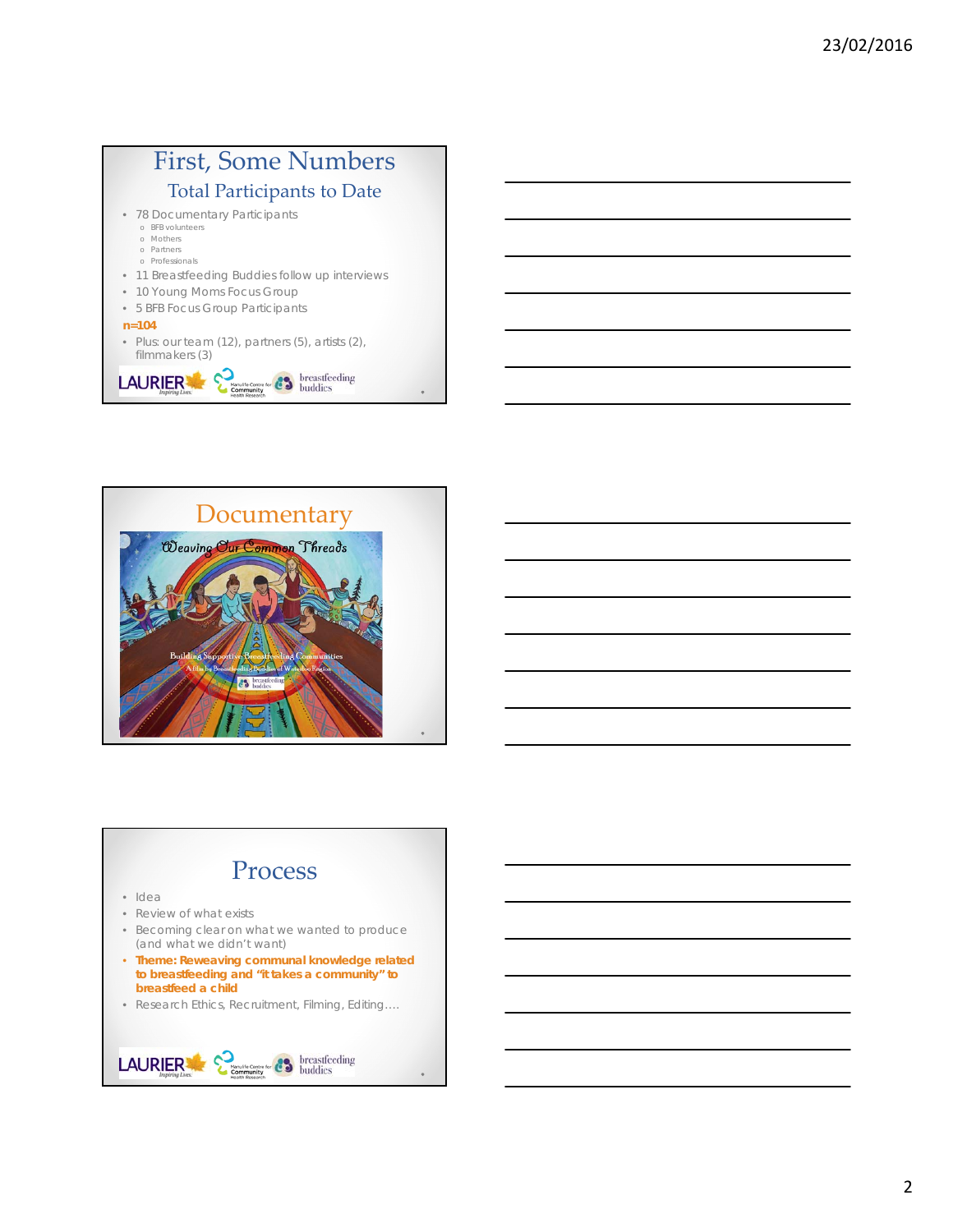#### First, Some Numbers Total Participants to Date • 78 Documentary Participants

- 
- o BFB volunteers o Mothers
- o Partners o Professionals

LAURIER

- 11 Breastfeeding Buddies follow up interviews
- 10 Young Moms Focus Group
- 5 BFB Focus Group Participants
- **n=104**
- Plus: our team (12), partners (5), artists (2), filmmakers (3)

**Community Centre for CO** breastfeeding



### Process

- Idea
- Review of what exists
- Becoming clear on what we wanted to produce (and what we didn't want)
- **Theme: Reweaving communal knowledge related to breastfeeding and "it takes a community" to breastfeed a child**
- Research Ethics, Recruitment, Filming, Editing….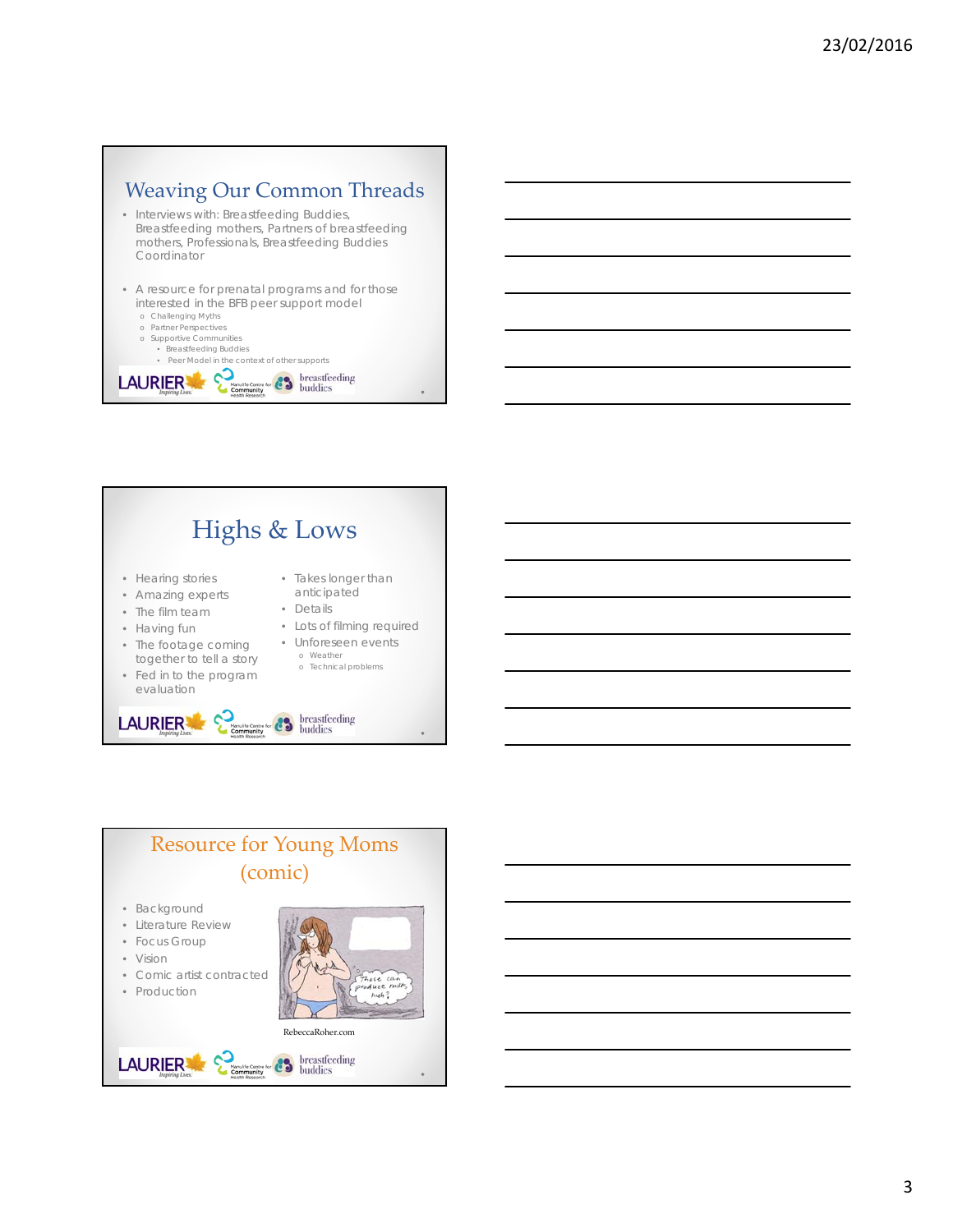## Weaving Our Common Threads

- Interviews with: Breastfeeding Buddies, Breastfeeding mothers, Partners of breastfeeding mothers, Professionals, Breastfeeding Buddies Coordinator
- A resource for prenatal programs and for those interested in the BFB peer support model
	- o Challenging Myths
	- o Partner Perspectives o Supportive Communities
		- Breastfeeding Buddies

• Peer Model in the context of other supports<br>  $\overline{\text{NIER}}$   $\sum_{\text{band to center for } \atop \text{beam, their Research}}$   $\overline{\text{C}}$  buddies LAURIER



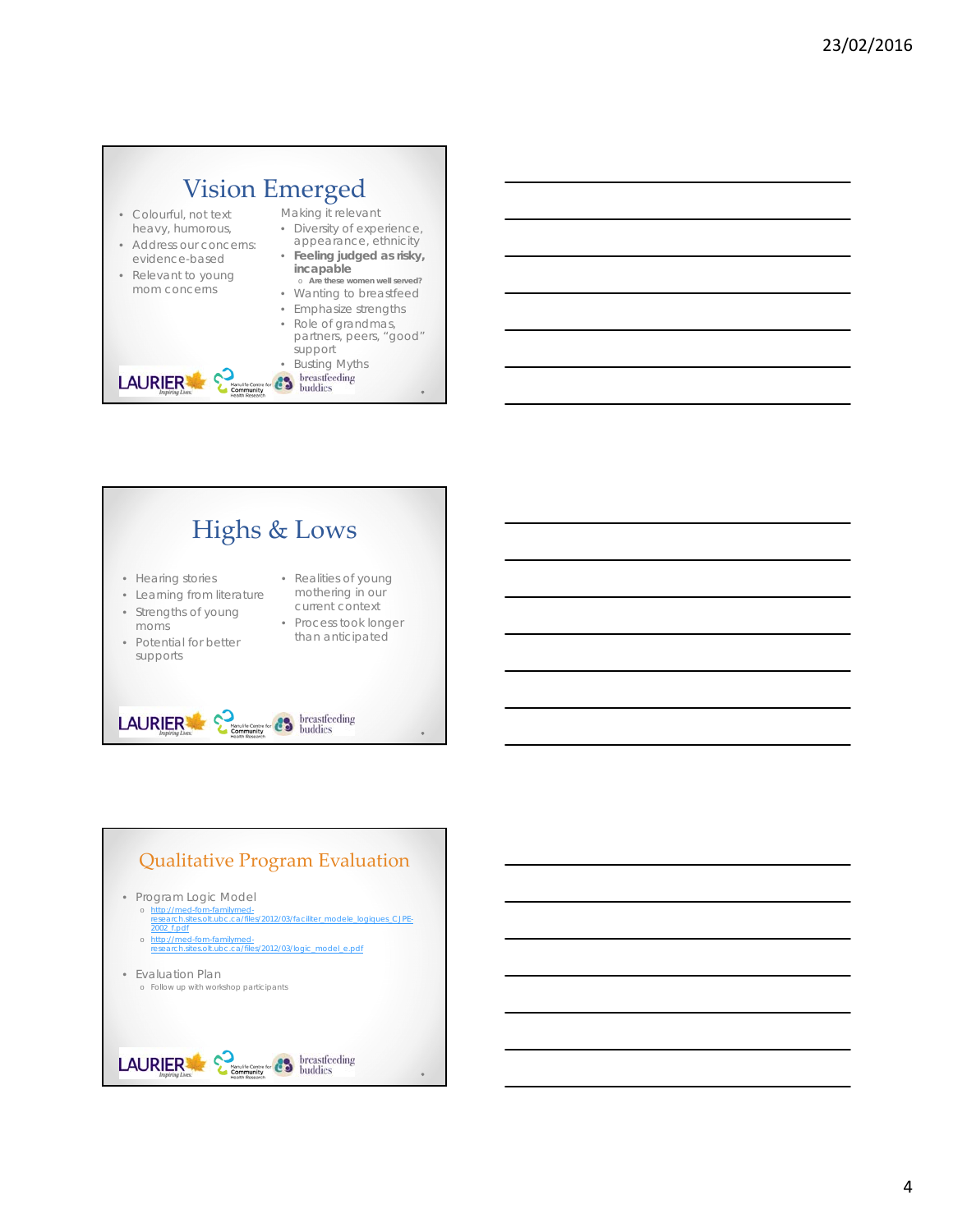# Vision Emerged

Manulife Centru<br>Community<br>Health Researc

- Colourful, not text heavy, humorous,
- Address our concerns: evidence-based
- Relevant to young mom concerns

LAURIER

- Making it relevant
- Diversity of experience, appearance, ethnicity • **Feeling judged as risky,**
- **incapable** o **Are these women well served?**
- Wanting to breastfeed
- Emphasize strengths • Role of grandmas, partners, peers, "good" support

• Busting Myths<br>**• Bustifieding**<br>**• Buddies** 





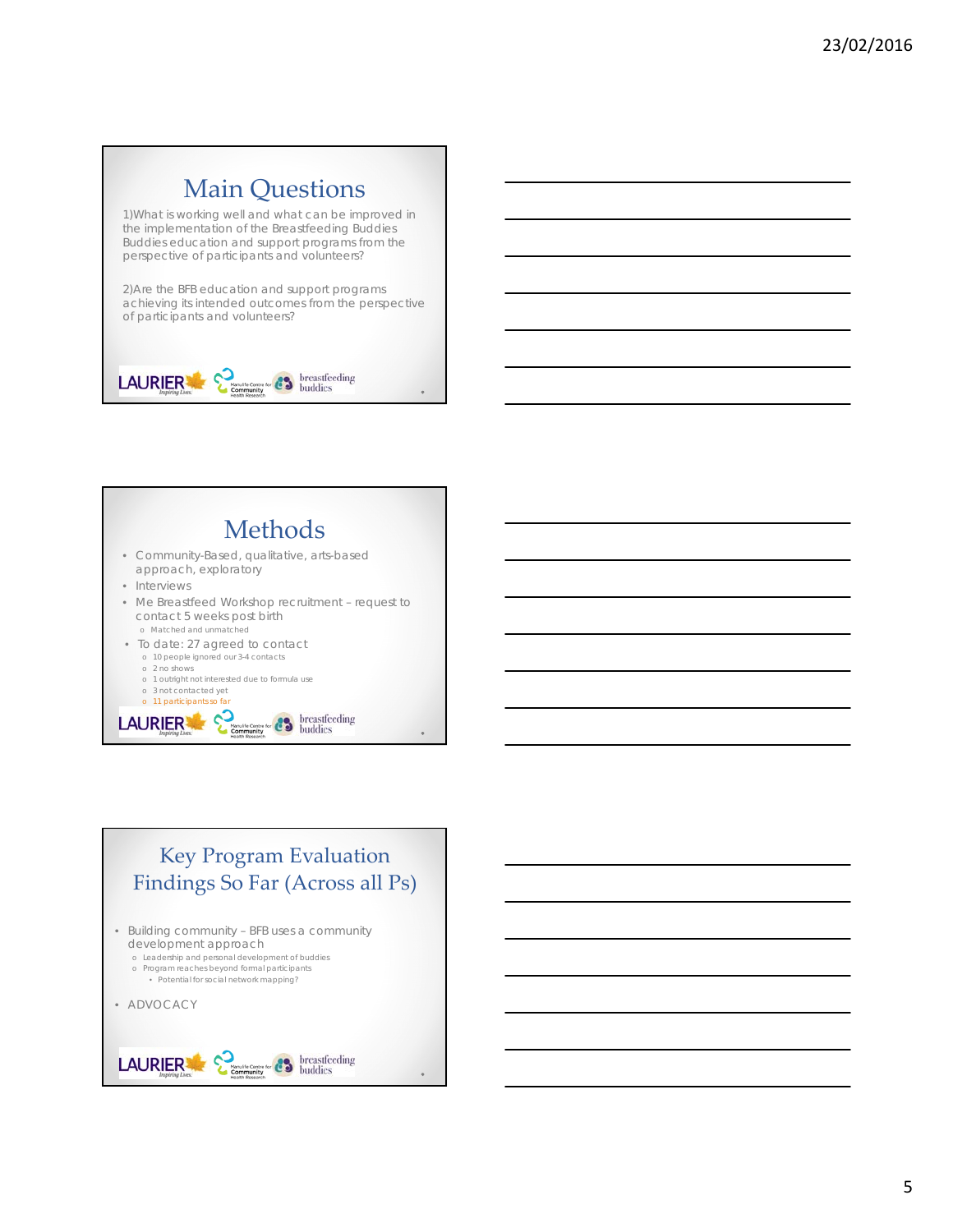## Main Questions

1)What is working well and what can be improved in the implementation of the Breastfeeding Buddies Buddies education and support programs from the perspective of participants and volunteers?

2)Are the BFB education and support programs achieving its intended outcomes from the perspective of participants and volunteers?



 $\text{LAUR} \underset{\text{hapirity} \text{Lax}}{\text{Lax} \times \text{Lax} \times \text{Lax}} \sum_{\text{Raxial factor of } \text{Raxal}} \sum_{\text{hagular}} \text{brcasticoding}$ 



- o Matched and unmatched
- To date: 27 agreed to contact o 10 people ignored our 3-4 contacts
	- o 2 no shows
	- o 1 outright not interested due to formula use o 3 not contacted yet
	-

# o 11 participants so far<br> **LAURIER**  $\sum_{n \text{ square}}$   $\sum_{n \text{ square}}$   $\sum_{n \text{ prime}}$  breastfeeding

### Key Program Evaluation Findings So Far (Across all Ps) • Building community – BFB uses a community development approach o Leadership and personal development of buddies o Program reaches beyond formal participants • Potential for social network mapping? • ADVOCACY $\text{LAUR} \underset{\text{Insplitspace}}{\text{LAUR}} \mathop{\mathop{\sum_{\text{Insplitspace}}}}_{\text{Insplitarray}} \mathop{\sum_{\text{non-minless}}}_{\text{Raman layer}} \mathop{\sum_{\text{non-minless}}}_{\text{Raman layer}} \mathop{\sum_{\text{non-minless}}}_{\text{Raman layer}}$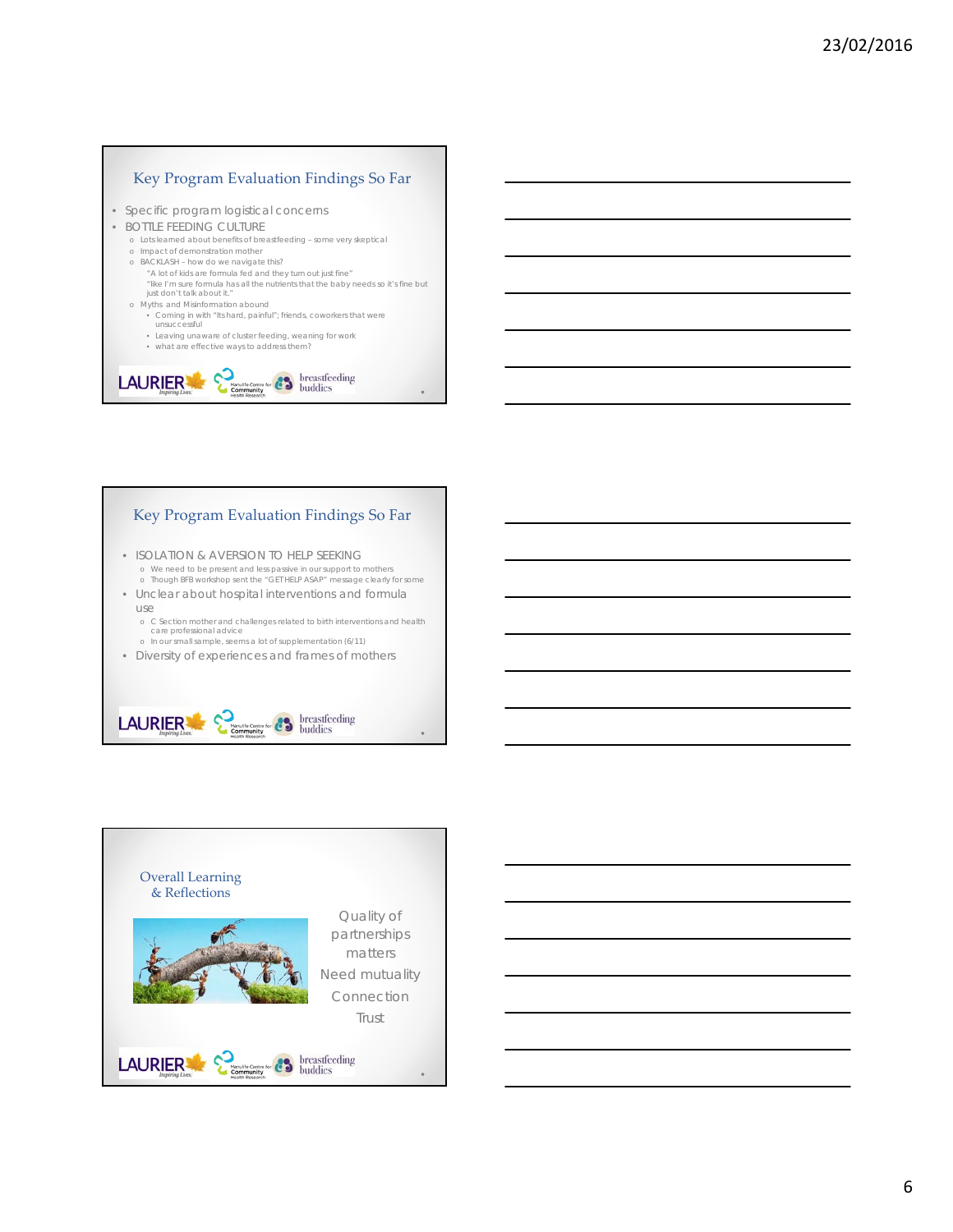#### Key Program Evaluation Findings So Far

- Specific program logistical concerns
- BOTTLE FEEDING CULTURE
	- o Lots learned about benefits of breastfeeding some very skeptical
	- o Impact of demonstration mother
	- o BACKLASH how do we navigate this?
		- "A lot of kids are formula fed and they turn out just fine" "like I'm sure formula has all the nutrients that the baby needs so it's fine but just don't talk about it."
	- o Myths and Misinformation abound
		- Coming in with "Its hard, painful"; friends, coworkers that were unsuccessful
		- Leaving unaware of cluster feeding, weaning for work • what are effective ways to address them?



#### Key Program Evaluation Findings So Far

- ISOLATION & AVERSION TO HELP SEEKING o We need to be present and less passive in our support to mothers o Though BFB workshop sent the "GET HELP ASAP" message clearly for some
- Unclear about hospital interventions and formula
	- use o C Section mother and challenges related to birth interventions and health care professional advice
	- o In our small sample, seems a lot of supplementation (6/11)
- Diversity of experiences and frames of mothers



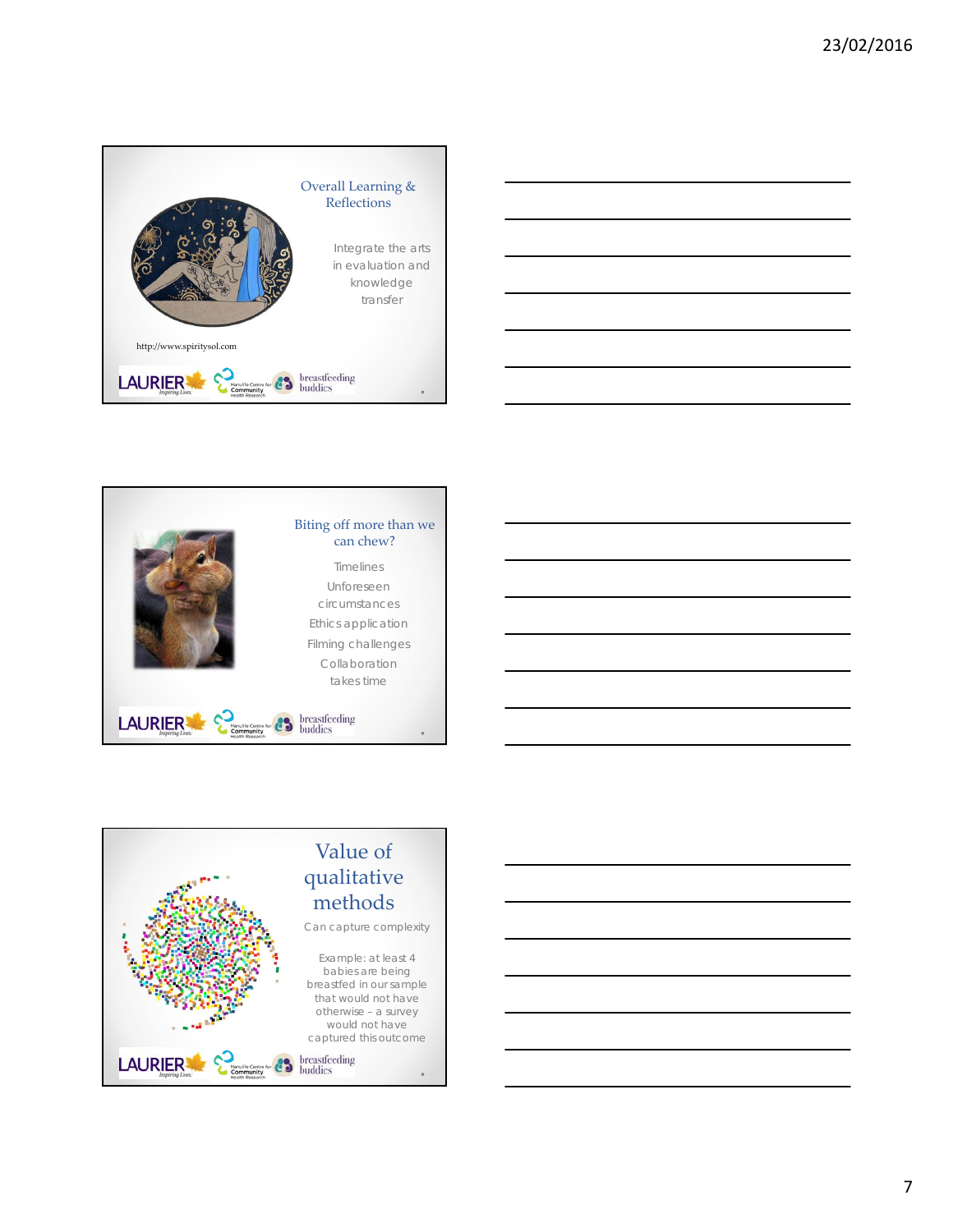









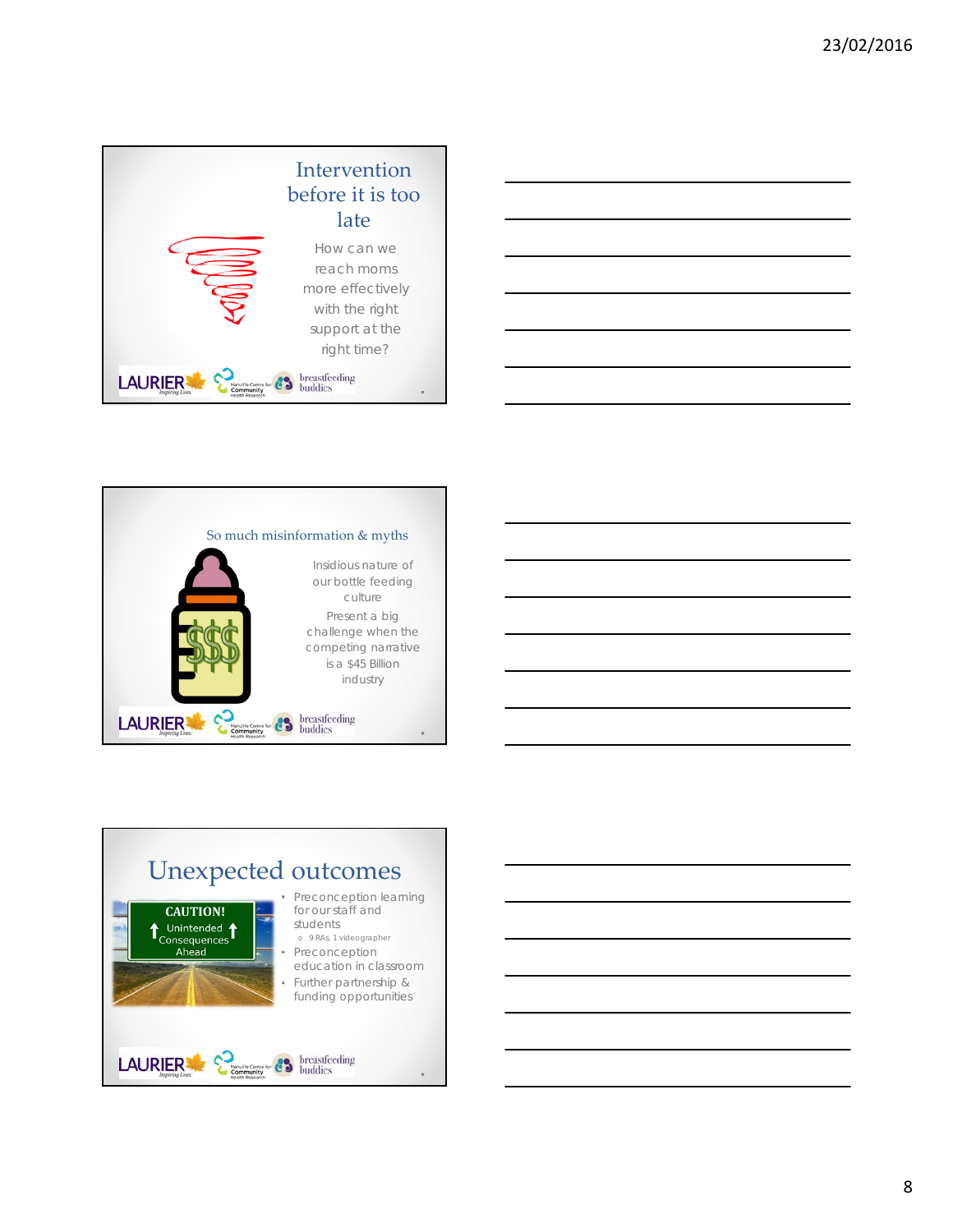